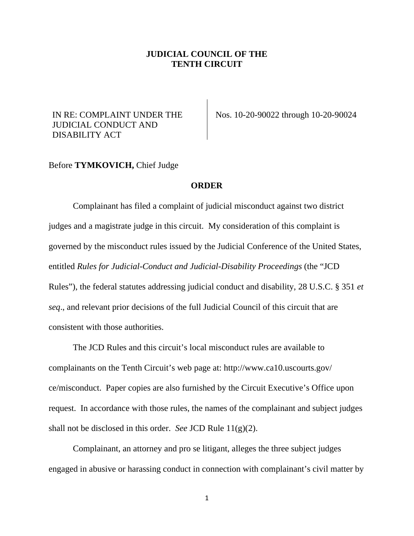## **JUDICIAL COUNCIL OF THE TENTH CIRCUIT**

## IN RE: COMPLAINT UNDER THE JUDICIAL CONDUCT AND DISABILITY ACT

Nos. 10-20-90022 through 10-20-90024

## Before **TYMKOVICH,** Chief Judge

## **ORDER**

Complainant has filed a complaint of judicial misconduct against two district judges and a magistrate judge in this circuit. My consideration of this complaint is governed by the misconduct rules issued by the Judicial Conference of the United States, entitled *Rules for Judicial-Conduct and Judicial-Disability Proceedings* (the "JCD Rules"), the federal statutes addressing judicial conduct and disability, 28 U.S.C. § 351 *et seq*., and relevant prior decisions of the full Judicial Council of this circuit that are consistent with those authorities.

The JCD Rules and this circuit's local misconduct rules are available to complainants on the Tenth Circuit's web page at: http://www.ca10.uscourts.gov/ ce/misconduct. Paper copies are also furnished by the Circuit Executive's Office upon request. In accordance with those rules, the names of the complainant and subject judges shall not be disclosed in this order. *See* JCD Rule 11(g)(2).

Complainant, an attorney and pro se litigant, alleges the three subject judges engaged in abusive or harassing conduct in connection with complainant's civil matter by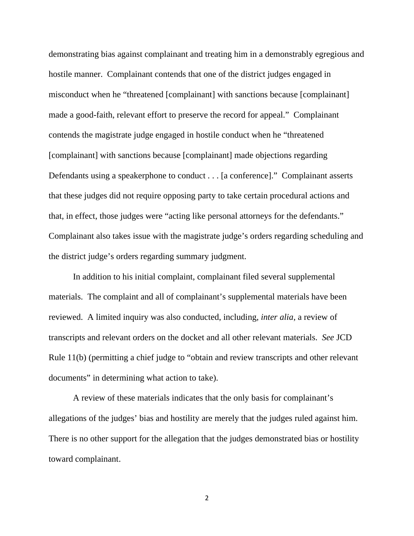demonstrating bias against complainant and treating him in a demonstrably egregious and hostile manner. Complainant contends that one of the district judges engaged in misconduct when he "threatened [complainant] with sanctions because [complainant] made a good-faith, relevant effort to preserve the record for appeal." Complainant contends the magistrate judge engaged in hostile conduct when he "threatened [complainant] with sanctions because [complainant] made objections regarding Defendants using a speakerphone to conduct . . . [a conference]." Complainant asserts that these judges did not require opposing party to take certain procedural actions and that, in effect, those judges were "acting like personal attorneys for the defendants." Complainant also takes issue with the magistrate judge's orders regarding scheduling and the district judge's orders regarding summary judgment.

In addition to his initial complaint, complainant filed several supplemental materials. The complaint and all of complainant's supplemental materials have been reviewed. A limited inquiry was also conducted, including, *inter alia*, a review of transcripts and relevant orders on the docket and all other relevant materials. *See* JCD Rule 11(b) (permitting a chief judge to "obtain and review transcripts and other relevant documents" in determining what action to take).

A review of these materials indicates that the only basis for complainant's allegations of the judges' bias and hostility are merely that the judges ruled against him. There is no other support for the allegation that the judges demonstrated bias or hostility toward complainant.

2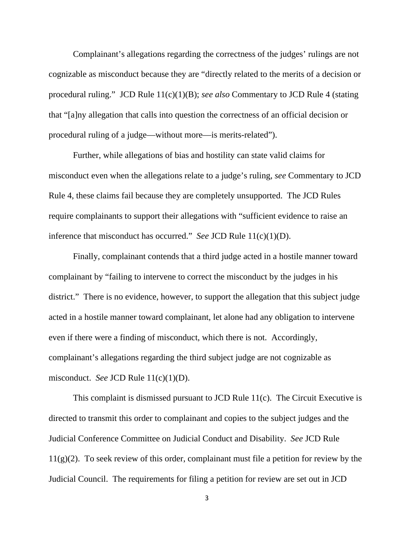Complainant's allegations regarding the correctness of the judges' rulings are not cognizable as misconduct because they are "directly related to the merits of a decision or procedural ruling." JCD Rule 11(c)(1)(B); *see also* Commentary to JCD Rule 4 (stating that "[a]ny allegation that calls into question the correctness of an official decision or procedural ruling of a judge—without more—is merits-related").

Further, while allegations of bias and hostility can state valid claims for misconduct even when the allegations relate to a judge's ruling, *see* Commentary to JCD Rule 4, these claims fail because they are completely unsupported. The JCD Rules require complainants to support their allegations with "sufficient evidence to raise an inference that misconduct has occurred." *See* JCD Rule 11(c)(1)(D).

Finally, complainant contends that a third judge acted in a hostile manner toward complainant by "failing to intervene to correct the misconduct by the judges in his district." There is no evidence, however, to support the allegation that this subject judge acted in a hostile manner toward complainant, let alone had any obligation to intervene even if there were a finding of misconduct, which there is not. Accordingly, complainant's allegations regarding the third subject judge are not cognizable as misconduct. *See* JCD Rule 11(c)(1)(D).

This complaint is dismissed pursuant to JCD Rule 11(c). The Circuit Executive is directed to transmit this order to complainant and copies to the subject judges and the Judicial Conference Committee on Judicial Conduct and Disability. *See* JCD Rule  $11(g)(2)$ . To seek review of this order, complainant must file a petition for review by the Judicial Council. The requirements for filing a petition for review are set out in JCD

3